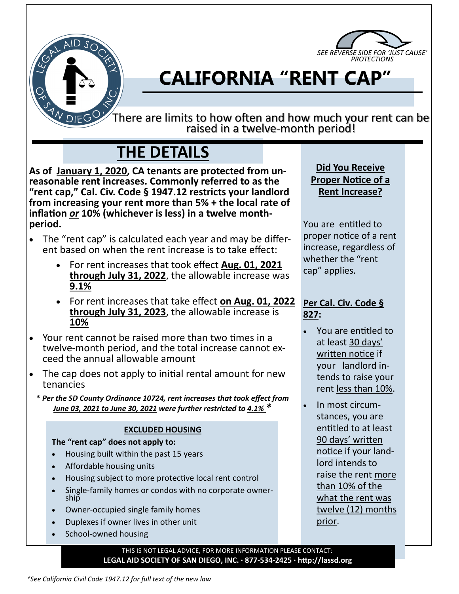



# **CALIFORNIA "RENT CAP"**

There are limits to how often and how much your rent can be raised in a twelve-month period!

## **THE DETAILS**

**As of January 1, 2020, CA tenants are protected from unreasonable rent increases. Commonly referred to as the "rent cap," Cal. Civ. Code § 1947.12 restricts your landlord from increasing your rent more than 5% + the local rate of inflation** *or* **10% (whichever is less) in a twelve monthperiod.**

- The "rent cap" is calculated each year and may be different based on when the rent increase is to take effect:
	- For rent increases that took effect **Aug. 01, 2021 through July 31, 2022**, the allowable increase was **9.1%**
	- For rent increases that take effect **on Aug. 01, 2022 through July 31, 2023**, the allowable increase is **10%**
- Your rent cannot be raised more than two times in a twelve-month period, and the total increase cannot exceed the annual allowable amount
- The cap does not apply to initial rental amount for new tenancies
	- **\*** *Per the SD County Ordinance 10724, rent increases that took effect from June 03, 2021 to June 30, 2021 were further restricted to 4.1% \**

#### **EXCLUDED HOUSING**

**The "rent cap" does not apply to:**

- Housing built within the past 15 years
- Affordable housing units
- Housing subject to more protective local rent control
- Single-family homes or condos with no corporate ownership
- Owner-occupied single family homes
- Duplexes if owner lives in other unit
- School-owned housing

**Did You Receive Proper Notice of a Rent Increase?**

You are entitled to proper notice of a rent increase, regardless of whether the "rent cap" applies.

#### **Per Cal. Civ. Code § 827:**

- You are entitled to at least 30 days' written notice if your landlord intends to raise your rent less than 10%.
- In most circumstances, you are entitled to at least 90 days' written notice if your landlord intends to raise the rent more than 10% of the what the rent was twelve (12) months prior.

THIS IS NOT LEGAL ADVICE, FOR MORE INFORMATION PLEASE CONTACT: **LEGAL AID SOCIETY OF SAN DIEGO, INC. · 877-534-2425 · http://lassd.org**